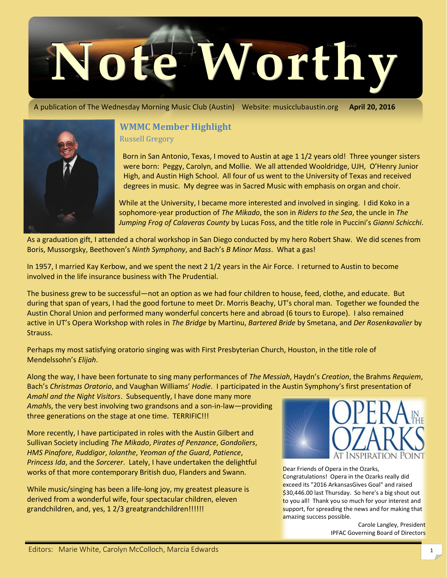

A publication of The Wednesday Morning Music Club (Austin) Website: musicclubaustin.org **April 20, 2016**



# **WMMC Member Highlight**

Russell Gregory

 Born in San Antonio, Texas, I moved to Austin at age 1 1/2 years old! Three younger sisters were born: Peggy, Carolyn, and Mollie. We all attended Wooldridge, UJH, O'Henry Junior High, and Austin High School. All four of us went to the University of Texas and received degrees in music. My degree was in Sacred Music with emphasis on organ and choir.

While at the University, I became more interested and involved in singing. I did Koko in a sophomore-year production of *The Mikado*, the son in *Riders to the Sea*, the uncle in *The Jumping Frog of Calaveras County* by Lucas Foss, and the title role in Puccini's *Gianni Schicchi*.

As a graduation gift, I attended a choral workshop in San Diego conducted by my hero Robert Shaw. We did scenes from Boris, Mussorgsky, Beethoven's *Ninth Symphony*, and Bach's *B Minor Mass*. What a gas!

In 1957, I married Kay Kerbow, and we spent the next 2 1/2 years in the Air Force. I returned to Austin to become involved in the life insurance business with The Prudential.

The business grew to be successful—not an option as we had four children to house, feed, clothe, and educate. But during that span of years, I had the good fortune to meet Dr. Morris Beachy, UT's choral man. Together we founded the Austin Choral Union and performed many wonderful concerts here and abroad (6 tours to Europe). I also remained active in UT's Opera Workshop with roles in *The Bridge* by Martinu, *Bartered Bride* by Smetana, and *Der Rosenkavalier* by Strauss.

Perhaps my most satisfying oratorio singing was with First Presbyterian Church, Houston, in the title role of Mendelssohn's *Elijah*.

Along the way, I have been fortunate to sing many performances of *The Messiah*, Haydn's *Creation*, the Brahms *Requiem*, Bach's *Christmas Oratorio*, and Vaughan Williams' *Hodie*. I participated in the Austin Symphony's first presentation of

*Amahl and the Night Visitors*. Subsequently, I have done many more *Amahl*s, the very best involving two grandsons and a son-in-law—providing three generations on the stage at one time. TERRIFIC!!!

More recently, I have participated in roles with the Austin Gilbert and Sullivan Society including *The Mikado*, *Pirates of Penzance*, *Gondoliers*, *HMS Pinafore*, *Ruddigor*, *Iolanthe*, *Yeoman of the Guard*, *Patience*, *Princess Ida*, and the *Sorcerer*. Lately, I have undertaken the delightful works of that more contemporary British duo, Flanders and Swann.

While music/singing has been a life-long joy, my greatest pleasure is derived from a wonderful wife, four spectacular children, eleven grandchildren, and, yes, 1 2/3 greatgrandchildren!!!!!!



Dear Friends of Opera in the Ozarks, Congratulations! Opera in the Ozarks really did exceed its "2016 ArkansasGives Goal" and raised \$30,446.00 last Thursday. So here's a big shout out to you all! Thank you so much for your interest and support, for spreading the news and for making that amazing success possible.

> Carole Langley, President IPFAC Governing Board of Directors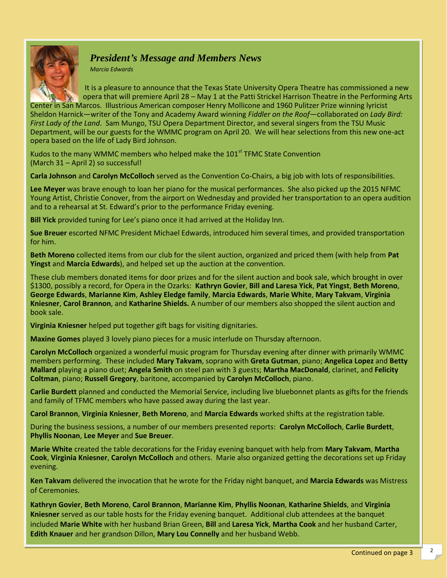

## *President's Message and Members News*

*Marcia Edwards*

It is a pleasure to announce that the Texas State University Opera Theatre has commissioned a new opera that will premiere April 28 – May 1 at the Patti Strickel Harrison Theatre in the Performing Arts

Center in San Marcos. Illustrious American composer Henry Mollicone and 1960 Pulitzer Prize winning lyricist Sheldon Harnick—writer of the Tony and Academy Award winning *Fiddler on the Roof*—collaborated on *Lady Bird: First Lady of the Land*. Sam Mungo, TSU Opera Department Director, and several singers from the TSU Music Department, will be our guests for the WMMC program on April 20. We will hear selections from this new one-act opera based on the life of Lady Bird Johnson.

Kudos to the many WMMC members who helped make the  $101<sup>st</sup>$  TFMC State Convention (March 31 – April 2) so successful!

**Carla Johnson** and **Carolyn McColloch** served as the Convention Co-Chairs, a big job with lots of responsibilities.

**Lee Meyer** was brave enough to loan her piano for the musical performances. She also picked up the 2015 NFMC Young Artist, Christie Conover, from the airport on Wednesday and provided her transportation to an opera audition and to a rehearsal at St. Edward's prior to the performance Friday evening.

**Bill Yick** provided tuning for Lee's piano once it had arrived at the Holiday Inn.

**Sue Breuer** escorted NFMC President Michael Edwards, introduced him several times, and provided transportation for him.

**Beth Moreno** collected items from our club for the silent auction, organized and priced them (with help from **Pat Yingst** and **Marcia Edwards**), and helped set up the auction at the convention.

These club members donated items for door prizes and for the silent auction and book sale, which brought in over \$1300, possibly a record, for Opera in the Ozarks: **Kathryn Govier**, **Bill and Laresa Yick**, **Pat Yingst**, **Beth Moreno**, **George Edwards**, **Marianne Kim**, **Ashley Eledge family**, **Marcia Edwards**, **Marie White**, **Mary Takvam**, **Virginia Kniesner**, **Carol Brannon**, and **Katharine Shields.** A number of our members also shopped the silent auction and book sale.

**Virginia Kniesner** helped put together gift bags for visiting dignitaries.

**Maxine Gomes** played 3 lovely piano pieces for a music interlude on Thursday afternoon.

**Carolyn McColloch** organized a wonderful music program for Thursday evening after dinner with primarily WMMC members performing. These included **Mary Takvam**, soprano with **Greta Gutman**, piano; **Angelica Lopez** and **Betty Mallard** playing a piano duet; **Angela Smith** on steel pan with 3 guests; **Martha MacDonald**, clarinet, and **Felicity Coltman**, piano; **Russell Gregory**, baritone, accompanied by **Carolyn McColloch**, piano.

**Carlie Burdett** planned and conducted the Memorial Service, including live bluebonnet plants as gifts for the friends and family of TFMC members who have passed away during the last year.

**Carol Brannon**, **Virginia Kniesner**, **Beth Moreno**, and **Marcia Edwards** worked shifts at the registration table.

During the business sessions, a number of our members presented reports: **Carolyn McColloch**, **Carlie Burdett**, **Phyllis Noonan**, **Lee Meyer** and **Sue Breuer**.

**Marie White** created the table decorations for the Friday evening banquet with help from **Mary Takvam**, **Martha Cook**, **Virginia Kniesner**, **Carolyn McColloch** and others. Marie also organized getting the decorations set up Friday evening.

**Ken Takvam** delivered the invocation that he wrote for the Friday night banquet, and **Marcia Edwards** was Mistress of Ceremonies.

**Kathryn Govier**, **Beth Moreno**, **Carol Brannon**, **Marianne Kim**, **Phyllis Noonan**, **Katharine Shields**, and **Virginia Kniesner** served as our table hosts for the Friday evening banquet. Additional club attendees at the banquet included **Marie White** with her husband Brian Green, **Bill** and **Laresa Yick**, **Martha Cook** and her husband Carter, **Edith Knauer** and her grandson Dillon, **Mary Lou Connelly** and her husband Webb.

2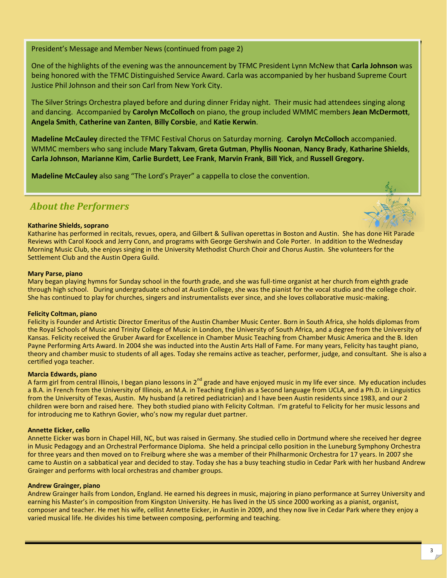President's Message and Member News (continued from page 2)

One of the highlights of the evening was the announcement by TFMC President Lynn McNew that **Carla Johnson** was being honored with the TFMC Distinguished Service Award. Carla was accompanied by her husband Supreme Court Justice Phil Johnson and their son Carl from New York City.

The Silver Strings Orchestra played before and during dinner Friday night. Their music had attendees singing along and dancing. Accompanied by **Carolyn McColloch** on piano, the group included WMMC members **Jean McDermott**, **Angela Smith**, **Catherine van Zanten**, **Billy Corsbie**, and **Katie Kerwin**.

**Madeline McCauley** directed the TFMC Festival Chorus on Saturday morning. **Carolyn McColloch** accompanied. WMMC members who sang include **Mary Takvam**, **Greta Gutman**, **Phyllis Noonan**, **Nancy Brady**, **Katharine Shields**, **Carla Johnson**, **Marianne Kim**, **Carlie Burdett**, **Lee Frank**, **Marvin Frank**, **Bill Yick**, and **Russell Gregory.**

**Madeline McCauley** also sang "The Lord's Prayer" a cappella to close the convention.

### *About the Performers*

#### **Katharine Shields, soprano**

Katharine has performed in recitals, revues, opera, and Gilbert & Sullivan operettas in Boston and Austin. She has done Hit Parade Reviews with Carol Koock and Jerry Conn, and programs with George Gershwin and Cole Porter. In addition to the Wednesday Morning Music Club, she enjoys singing in the University Methodist Church Choir and Chorus Austin. She volunteers for the Settlement Club and the Austin Opera Guild.

#### **Mary Parse, piano**

Mary began playing hymns for Sunday school in the fourth grade, and she was full-time organist at her church from eighth grade through high school. During undergraduate school at Austin College, she was the pianist for the vocal studio and the college choir. She has continued to play for churches, singers and instrumentalists ever since, and she loves collaborative music-making.

#### **Felicity Coltman, piano**

Felicity is Founder and Artistic Director Emeritus of the Austin Chamber Music Center. Born in South Africa, she holds diplomas from the Royal Schools of Music and Trinity College of Music in London, the University of South Africa, and a degree from the University of Kansas. Felicity received the Gruber Award for Excellence in Chamber Music Teaching from Chamber Music America and the B. Iden Payne Performing Arts Award. In 2004 she was inducted into the Austin Arts Hall of Fame. For many years, Felicity has taught piano, theory and chamber music to students of all ages. Today she remains active as teacher, performer, judge, and consultant. She is also a certified yoga teacher.

#### **Marcia Edwards, piano**

A farm girl from central Illinois, I began piano lessons in 2<sup>nd</sup> grade and have enjoyed music in my life ever since. My education includes a B.A. in French from the University of Illinois, an M.A. in Teaching English as a Second language from UCLA, and a Ph.D. in Linguistics from the University of Texas, Austin. My husband (a retired pediatrician) and I have been Austin residents since 1983, and our 2 children were born and raised here. They both studied piano with Felicity Coltman. I'm grateful to Felicity for her music lessons and for introducing me to Kathryn Govier, who's now my regular duet partner.

#### **Annette Eicker, cello**

Annette Eicker was born in Chapel Hill, NC, but was raised in Germany. She studied cello in Dortmund where she received her degree in Music Pedagogy and an Orchestral Performance Diploma. She held a principal cello position in the Luneburg Symphony Orchestra for three years and then moved on to Freiburg where she was a member of their Philharmonic Orchestra for 17 years. In 2007 she came to Austin on a sabbatical year and decided to stay. Today she has a busy teaching studio in Cedar Park with her husband Andrew Grainger and performs with local orchestras and chamber groups.

#### **Andrew Grainger, piano**

Andrew Grainger hails from London, England. He earned his degrees in music, majoring in piano performance at Surrey University and earning his Master's in composition from Kingston University. He has lived in the US since 2000 working as a pianist, organist, composer and teacher. He met his wife, cellist Annette Eicker, in Austin in 2009, and they now live in Cedar Park where they enjoy a varied musical life. He divides his time between composing, performing and teaching.